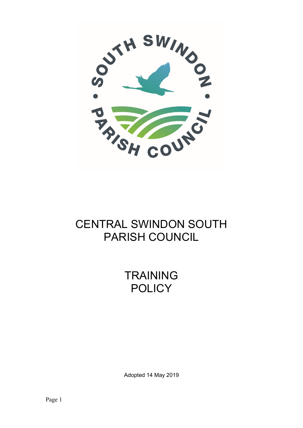

# CENTRAL SWINDON SOUTH PARISH COUNCIL

**TRAINING POLICY** 

Adopted 14 May 2019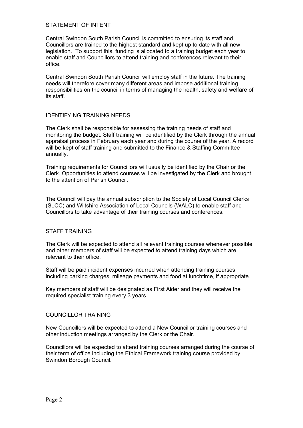### STATEMENT OF INTENT

Central Swindon South Parish Council is committed to ensuring its staff and Councillors are trained to the highest standard and kept up to date with all new legislation. To support this, funding is allocated to a training budget each year to enable staff and Councillors to attend training and conferences relevant to their office.

Central Swindon South Parish Council will employ staff in the future. The training needs will therefore cover many different areas and impose additional training responsibilities on the council in terms of managing the health, safety and welfare of its staff.

#### IDENTIFYING TRAINING NEEDS

The Clerk shall be responsible for assessing the training needs of staff and monitoring the budget. Staff training will be identified by the Clerk through the annual appraisal process in February each year and during the course of the year. A record will be kept of staff training and submitted to the Finance & Staffing Committee annually.

Training requirements for Councillors will usually be identified by the Chair or the Clerk. Opportunities to attend courses will be investigated by the Clerk and brought to the attention of Parish Council.

The Council will pay the annual subscription to the Society of Local Council Clerks (SLCC) and Wiltshire Association of Local Councils (WALC) to enable staff and Councillors to take advantage of their training courses and conferences.

#### STAFF TRAINING

The Clerk will be expected to attend all relevant training courses whenever possible and other members of staff will be expected to attend training days which are relevant to their office.

Staff will be paid incident expenses incurred when attending training courses including parking charges, mileage payments and food at lunchtime, if appropriate.

Key members of staff will be designated as First Aider and they will receive the required specialist training every 3 years.

#### COUNCILLOR TRAINING

New Councillors will be expected to attend a New Councillor training courses and other induction meetings arranged by the Clerk or the Chair.

Councillors will be expected to attend training courses arranged during the course of their term of office including the Ethical Framework training course provided by Swindon Borough Council.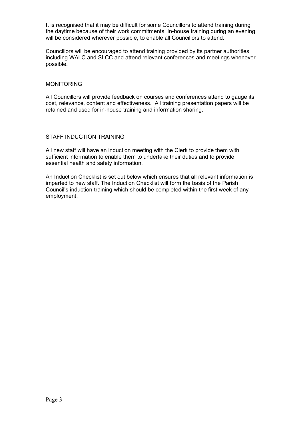It is recognised that it may be difficult for some Councillors to attend training during the daytime because of their work commitments. In-house training during an evening will be considered wherever possible, to enable all Councillors to attend.

Councillors will be encouraged to attend training provided by its partner authorities including WALC and SLCC and attend relevant conferences and meetings whenever possible.

#### MONITORING

All Councillors will provide feedback on courses and conferences attend to gauge its cost, relevance, content and effectiveness. All training presentation papers will be retained and used for in-house training and information sharing.

#### STAFF INDUCTION TRAINING

All new staff will have an induction meeting with the Clerk to provide them with sufficient information to enable them to undertake their duties and to provide essential health and safety information.

An Induction Checklist is set out below which ensures that all relevant information is imparted to new staff. The Induction Checklist will form the basis of the Parish Council's induction training which should be completed within the first week of any employment.